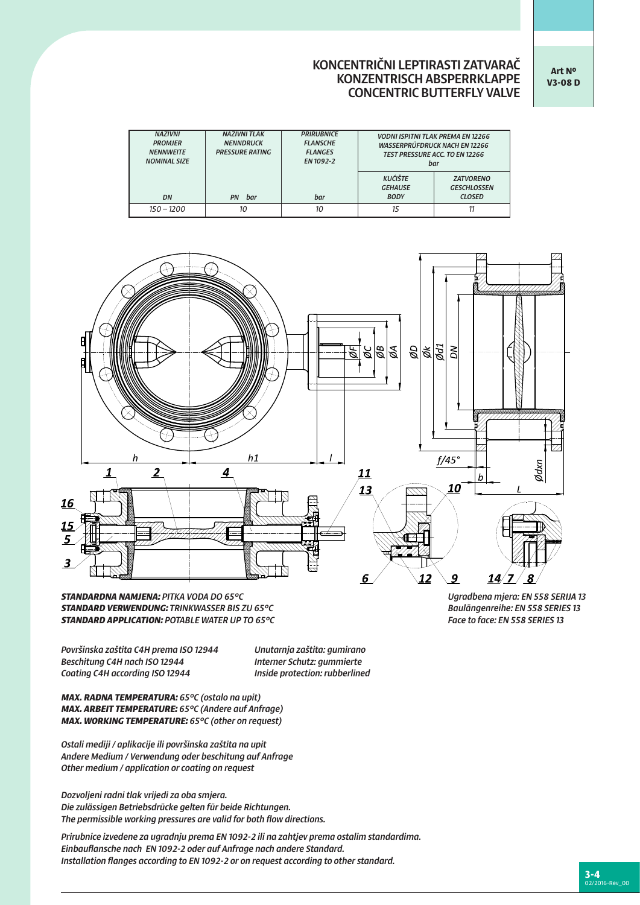## KONCENTRIČNI LEPTIRASTI ZATVARAČ KONZENTRISCH ABSPERRKLAPPE CONCENTRIC BUTTERFLY VALVE

**Art Nº V3-08 D**

| <b>NAZIVNI</b><br><b>PROMJER</b><br><b>NENNWEITE</b><br><b>NOMINAL SIZE</b> | <b>NAZIVNI TLAK</b><br><b>NENNDRUCK</b><br><b>PRESSURE RATING</b> | <b>PRIRUBNICE</b><br><b>FLANSCHE</b><br><b>FLANGES</b><br>EN 1092-2 |                                                 | <b>VODNI ISPITNI TLAK PREMA EN 12266</b><br><b>WASSERPRÜFDRUCK NACH EN 12266</b><br><b>TEST PRESSURE ACC. TO EN 12266</b><br>bar |  |  |
|-----------------------------------------------------------------------------|-------------------------------------------------------------------|---------------------------------------------------------------------|-------------------------------------------------|----------------------------------------------------------------------------------------------------------------------------------|--|--|
| DN                                                                          | bar<br>PN                                                         | bar                                                                 | <b>KUĆIŠTE</b><br><b>GEHAUSE</b><br><b>BODY</b> | <b>ZATVORENO</b><br><b>GESCHLOSSEN</b><br><b>CLOSED</b>                                                                          |  |  |
| $150 - 1200$                                                                | 10                                                                |                                                                     | 15                                              | 11                                                                                                                               |  |  |



*STANDARDNA NAMJENA: PITKA VODA DO 65°C Ugradbena mjera: EN 558 SERIJA 13 STANDARD VERWENDUNG: TRINKWASSER BIS ZU 65°C Baulängenreihe: EN 558 SERIES 13* **STANDARD APPLICATION: POTABLE WATER UP TO 65°C** 

*Površinska zaštita C4H prema ISO 12944 Unutarnja zaštita: gumirano Beschitung C4H nach ISO 12944 Interner Schutz: gummierte Coating C4H according ISO 12944 Inside protection: rubberlined*

*MAX. RADNA TEMPERATURA: 65°C (ostalo na upit) MAX. ARBEIT TEMPERATURE: 65°C (Andere auf Anfrage) MAX. WORKING TEMPERATURE: 65°C (other on request)* 

*Ostali mediji / aplikacije ili površinska zaštita na upit Andere Medium / Verwendung oder beschitung auf Anfrage Other medium / application or coating on request*

*Dozvoljeni radni tlak vrijedi za oba smjera. Die zulässigen Betriebsdrücke gelten für beide Richtungen. The permissible working pressures are valid for both flow directions.*

*Prirubnice izvedene za ugradnju prema EN 1092-2 ili na zahtjev prema ostalim standardima. Einbauflansche nach EN 1092-2 oder auf Anfrage nach andere Standard. Installation flanges according to EN 1092-2 or on request according to other standard.*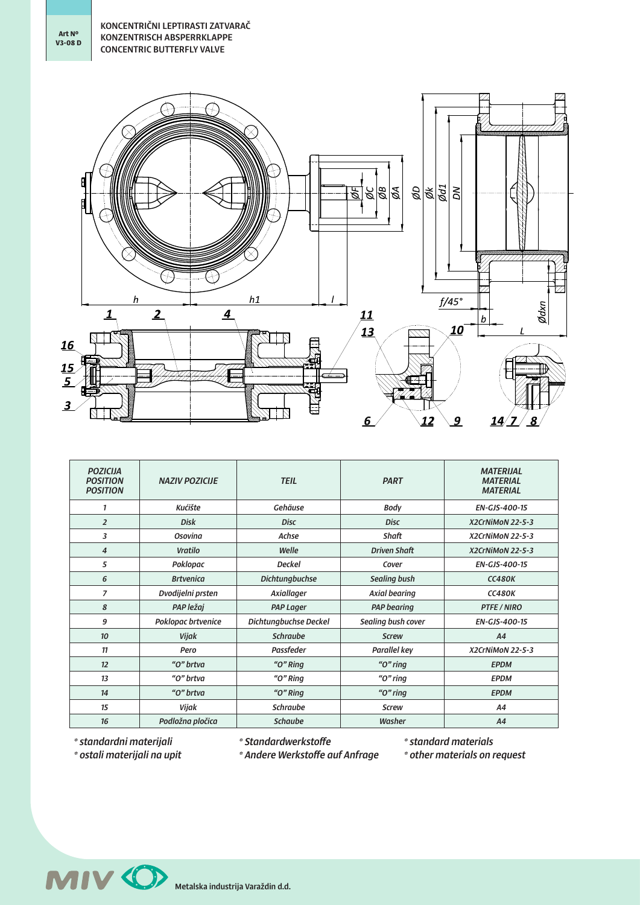**Art Nº V3-08 D**



| <b>POZICIJA</b><br><b>POSITION</b><br><b>POSITION</b> | <b>NAZIV POZICIJE</b> | <b>TEIL</b>           | <b>PART</b>          |                      |  |  |
|-------------------------------------------------------|-----------------------|-----------------------|----------------------|----------------------|--|--|
| 1                                                     | Kućište               | Gehäuse               | Body                 | <b>EN-GJS-400-15</b> |  |  |
| $\overline{2}$                                        | <b>Disk</b>           | <b>Disc</b>           | X2CrNiMoN 22-5-3     |                      |  |  |
| 3                                                     | Osovina               | Achse                 | Shaft                | X2CrNiMoN 22-5-3     |  |  |
| $\overline{4}$                                        | Vratilo               | Welle                 | <b>Driven Shaft</b>  | X2CrNiMoN 22-5-3     |  |  |
| 5                                                     | Poklopac              | <b>Deckel</b>         | Cover                | EN-GJS-400-15        |  |  |
| 6                                                     | <b>Brtvenica</b>      | <b>Dichtungbuchse</b> | Sealing bush         | <b>CC480K</b>        |  |  |
| $\overline{7}$                                        | Dvodijelni prsten     | Axiallager            | <b>Axial bearing</b> | <b>CC480K</b>        |  |  |
| 8                                                     | PAP ležaj             | <b>PAP Lager</b>      | <b>PAP</b> bearing   | <b>PTFE / NIRO</b>   |  |  |
| 9                                                     | Poklopac brtvenice    | Dichtungbuchse Deckel | Sealing bush cover   | <b>EN-GJS-400-15</b> |  |  |
| 10                                                    | <b>Vijak</b>          | <b>Schraube</b>       | <b>Screw</b>         | A4                   |  |  |
| 11                                                    | Pero                  | Passfeder             | Parallel key         | X2CrNiMoN 22-5-3     |  |  |
| 12                                                    | "O" brtva             | " $O$ " Ring          | " $O$ " ring         | <b>EPDM</b>          |  |  |
| 13                                                    | "O" brtva             | " $O$ " Ring          | " $O$ " ring         | <b>EPDM</b>          |  |  |
| 14                                                    | "O" brtva             | " $O$ " Ring          | " $O$ " ring         | <b>EPDM</b>          |  |  |
| 15                                                    | Vijak                 | <b>Schraube</b>       | <b>Screw</b>         | <b>A4</b>            |  |  |
| 16                                                    | Podložna pločica      | <b>Schaube</b>        | Washer               | A4                   |  |  |

*\* standardni materijali*

*\* ostali materijali na upit*

*\* Standardwerkstoffe*

*\* Andere Werkstoffe auf Anfrage*

*\* standard materials \* other materials on request*